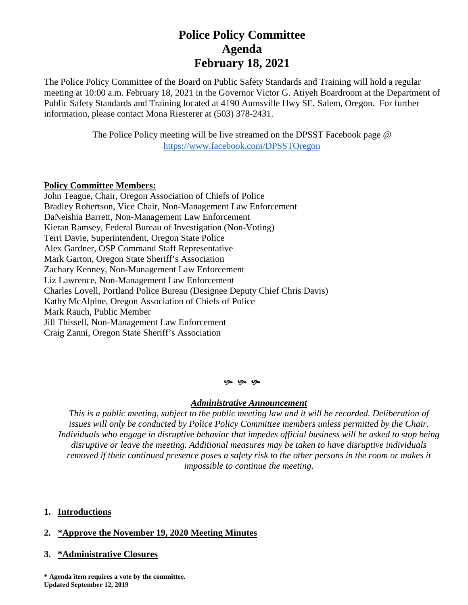# **Police Policy Committee Agenda February 18, 2021**

The Police Policy Committee of the Board on Public Safety Standards and Training will hold a regular meeting at 10:00 a.m. February 18, 2021 in the Governor Victor G. Atiyeh Boardroom at the Department of Public Safety Standards and Training located at 4190 Aumsville Hwy SE, Salem, Oregon. For further information, please contact Mona Riesterer at (503) 378-2431.

> The Police Policy meeting will be live streamed on the DPSST Facebook page @ <https://www.facebook.com/DPSSTOregon>

### **Policy Committee Members:**

John Teague, Chair, Oregon Association of Chiefs of Police Bradley Robertson, Vice Chair, Non-Management Law Enforcement DaNeishia Barrett, Non-Management Law Enforcement Kieran Ramsey, Federal Bureau of Investigation (Non-Voting) Terri Davie, Superintendent, Oregon State Police Alex Gardner, OSP Command Staff Representative Mark Garton, Oregon State Sheriff's Association Zachary Kenney, Non-Management Law Enforcement Liz Lawrence, Non-Management Law Enforcement Charles Lovell, Portland Police Bureau (Designee Deputy Chief Chris Davis) Kathy McAlpine, Oregon Association of Chiefs of Police Mark Rauch, Public Member Jill Thissell, Non-Management Law Enforcement Craig Zanni, Oregon State Sheriff's Association

#### **9** 9 9

#### *Administrative Announcement*

*This is a public meeting, subject to the public meeting law and it will be recorded. Deliberation of issues will only be conducted by Police Policy Committee members unless permitted by the Chair. Individuals who engage in disruptive behavior that impedes official business will be asked to stop being disruptive or leave the meeting. Additional measures may be taken to have disruptive individuals removed if their continued presence poses a safety risk to the other persons in the room or makes it impossible to continue the meeting.*

#### **1. Introductions**

## **2. \*Approve the November 19, 2020 Meeting Minutes**

#### **3. \*Administrative Closures**